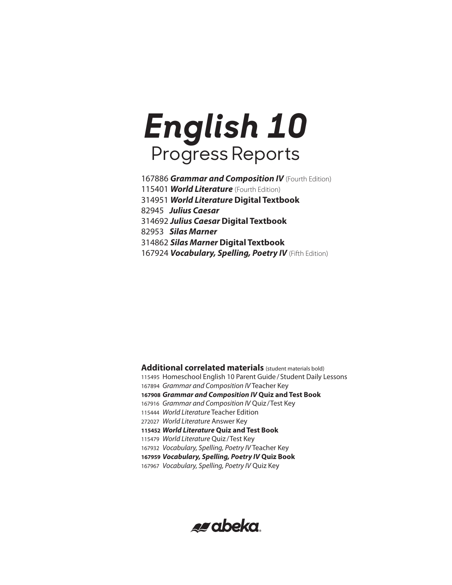*Grammar and Composition IV* (Fourth Edition) *World Literature* (Fourth Edition) *World Literature* **Digital Textbook** *Julius Caesar Julius Caesar* **Digital Textbook** *Silas Marner Silas Marner* **Digital Textbook** *Vocabulary, Spelling, Poetry IV* (Fifth Edition)

**Additional correlated materials** (student materials bold)

Homeschool English 10 Parent Guide/ Student Daily Lessons

*Grammar and Composition IV* Teacher Key

*Grammar and Composition IV* **Quiz and Test Book**

- *Grammar and Composition IV* Quiz /Test Key
- *World Literature* Teacher Edition
- *World Literature* Answer Key
- *World Literature* **Quiz and Test Book**
- *World Literature* Quiz /Test Key
- *Vocabulary, Spelling, Poetry IV* Teacher Key
- *Vocabulary, Spelling, Poetry IV* **Quiz Book**

*Vocabulary, Spelling, Poetry IV* Quiz Key

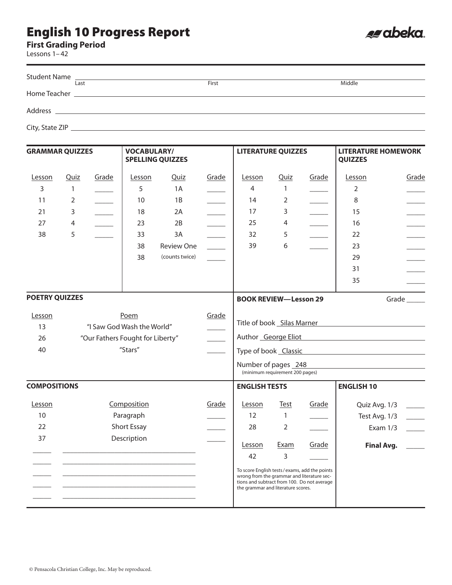**First Grading Period**

Lessons 1–42

| <b>Student Name</b> |      |       |        |
|---------------------|------|-------|--------|
|                     | Last | First | Middle |
| Home Teacher        |      |       |        |

Address **Executive Community Community** and the community of the community of the community of the community of the community of the community of the community of the community of the community of the community of the comm

City, State ZIP

| <b>GRAMMAR QUIZZES</b> |                                                             |       | <b>VOCABULARY/</b><br><b>SPELLING QUIZZES</b> |                   |                                                                    | <b>LITERATURE QUIZZES</b>                                                                                                                                                         |              |                   | <b>LITERATURE HOMEWORK</b><br><b>QUIZZES</b> |                          |  |
|------------------------|-------------------------------------------------------------|-------|-----------------------------------------------|-------------------|--------------------------------------------------------------------|-----------------------------------------------------------------------------------------------------------------------------------------------------------------------------------|--------------|-------------------|----------------------------------------------|--------------------------|--|
| Lesson                 | Quiz                                                        | Grade | Lesson                                        | Quiz              | Grade                                                              | Lesson                                                                                                                                                                            | Quiz         | Grade             | Lesson                                       | Grade                    |  |
| 3                      | $\mathbf{1}$                                                |       | 5                                             | 1A                |                                                                    | 4                                                                                                                                                                                 | $\mathbf{1}$ |                   | $\overline{2}$                               |                          |  |
| 11                     | 2                                                           |       | 10                                            | 1B                |                                                                    | 14                                                                                                                                                                                | 2            |                   | 8                                            |                          |  |
| 21                     | 3                                                           |       | 18                                            | 2A                |                                                                    | 17                                                                                                                                                                                | 3            |                   | 15                                           |                          |  |
| 27                     | 4                                                           |       | 23                                            | 2B                | $\overline{\phantom{a}}$                                           | 25                                                                                                                                                                                | 4            |                   | 16                                           |                          |  |
| 38                     | 5                                                           |       | 33                                            | 3A                | $\overline{\phantom{a}}$                                           | 32                                                                                                                                                                                | 5            |                   | 22                                           |                          |  |
|                        |                                                             |       | 38                                            | <b>Review One</b> |                                                                    | 39                                                                                                                                                                                | 6            |                   | 23                                           |                          |  |
|                        |                                                             |       | 38                                            | (counts twice)    |                                                                    |                                                                                                                                                                                   |              |                   | 29                                           |                          |  |
|                        |                                                             |       |                                               |                   |                                                                    |                                                                                                                                                                                   |              |                   | 31                                           |                          |  |
|                        |                                                             |       |                                               |                   |                                                                    |                                                                                                                                                                                   |              |                   | 35                                           |                          |  |
| <b>POETRY QUIZZES</b>  |                                                             |       |                                               |                   | <b>BOOK REVIEW-Lesson 29</b>                                       |                                                                                                                                                                                   |              |                   | Grade                                        |                          |  |
| Lesson<br>13           | Poem<br>"I Saw God Wash the World"                          |       |                                               |                   | Grade                                                              | Title of book Silas Marner Manual Communication of the Silas Marner                                                                                                               |              |                   |                                              |                          |  |
| 26                     |                                                             |       | "Our Fathers Fought for Liberty"              |                   | $\overline{\phantom{a}}$                                           | Author George Eliot Manual Author Corp.                                                                                                                                           |              |                   |                                              |                          |  |
| 40                     |                                                             |       | "Stars"                                       |                   | $\mathcal{L}^{\text{max}}$ . The set of $\mathcal{L}^{\text{max}}$ | Type of book Classic Manual Control of the Senate Manual Control of the Senate Manual Control of the Manual Co                                                                    |              |                   |                                              |                          |  |
|                        |                                                             |       |                                               |                   |                                                                    | Number of pages 248<br><u> 1989 - Johann Barn, mars ann an t-Amhain an t-Amhain an t-Amhain an t-Amhain an t-Amhain an t-Amhain an t-A</u>                                        |              |                   |                                              |                          |  |
|                        |                                                             |       |                                               |                   |                                                                    | (minimum requirement 200 pages)                                                                                                                                                   |              |                   |                                              |                          |  |
| <b>COMPOSITIONS</b>    |                                                             |       |                                               |                   |                                                                    | <b>ENGLISH TESTS</b>                                                                                                                                                              |              |                   | <b>ENGLISH 10</b>                            |                          |  |
| Lesson                 |                                                             |       | Composition                                   |                   | Grade                                                              | Lesson                                                                                                                                                                            | <b>Test</b>  | Grade             | Quiz Avg. 1/3                                |                          |  |
| 10                     |                                                             |       | Paragraph                                     |                   |                                                                    | $12 \overline{ }$                                                                                                                                                                 | $\mathbf{1}$ |                   | Test Avg. 1/3                                | $\overline{\phantom{a}}$ |  |
| 22                     |                                                             |       | <b>Short Essay</b>                            |                   |                                                                    | 28                                                                                                                                                                                | 2            |                   | Exam $1/3$                                   |                          |  |
| 37                     | Description                                                 |       |                                               |                   | Lesson                                                             | Exam                                                                                                                                                                              | Grade        | <b>Final Avg.</b> |                                              |                          |  |
|                        |                                                             |       |                                               |                   |                                                                    | 42                                                                                                                                                                                | 3            |                   |                                              |                          |  |
|                        | <u> 1989 - Johann Stoff, Amerikaansk politiker (* 1958)</u> |       |                                               |                   |                                                                    | To score English tests / exams, add the points<br>wrong from the grammar and literature sec-<br>tions and subtract from 100. Do not average<br>the grammar and literature scores. |              |                   |                                              |                          |  |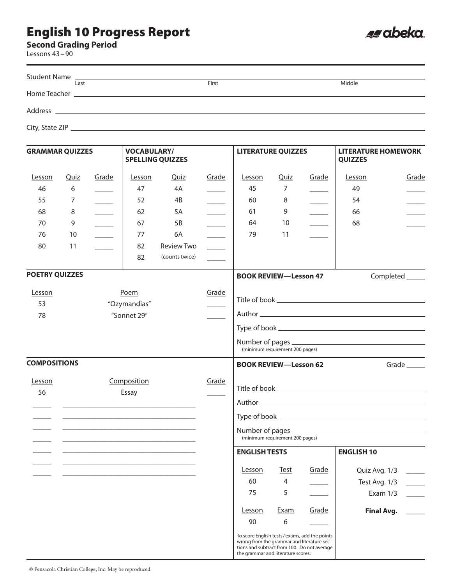#### **Second Grading Period**

Lessons 43–90

| <b>GRAMMAR QUIZZES</b> |      | <b>VOCABULARY/</b><br><b>SPELLING QUIZZES</b>                                                                                                                                                                                        |       | <b>LITERATURE QUIZZES</b><br>the contract of the contract of the contract of the contract of the contract of the contract of the contract of | <b>LITERATURE HOMEWORK</b><br><b>QUIZZES</b> |
|------------------------|------|--------------------------------------------------------------------------------------------------------------------------------------------------------------------------------------------------------------------------------------|-------|----------------------------------------------------------------------------------------------------------------------------------------------|----------------------------------------------|
|                        |      | City, State ZIP <u>example and the state of the state of</u> the state of the state of the state of the state of the state of the state of the state of the state of the state of the state of the state of the state of the state   |       |                                                                                                                                              |                                              |
|                        |      | Address <b>contract to the contract of the contract of the contract of the contract of the contract of the contract of the contract of the contract of the contract of the contract of the contract of the contract of the contr</b> |       |                                                                                                                                              |                                              |
|                        |      |                                                                                                                                                                                                                                      |       |                                                                                                                                              |                                              |
| <b>Student Name</b>    | Last | <u> 1980 - Johann Barn, mars ann an t-Amhainn an t-Amhainn an t-Amhainn an t-Amhainn an t-Amhainn an t-Amhainn an</u>                                                                                                                | First |                                                                                                                                              | Middle                                       |

es abeka.

| Lesson                | Quiz | Grade                    | Lesson       | Quiz              | Grade                    | Lesson                                                                                                                                                                            | Quiz                            | Grade          | Lesson            | Grade                    |  |
|-----------------------|------|--------------------------|--------------|-------------------|--------------------------|-----------------------------------------------------------------------------------------------------------------------------------------------------------------------------------|---------------------------------|----------------|-------------------|--------------------------|--|
| 46                    | 6    |                          | 47           | 4A                |                          | 45                                                                                                                                                                                | 7                               |                | 49                |                          |  |
| 55                    | 7    |                          | 52           | 4B                |                          | 60                                                                                                                                                                                | 8                               |                | 54                |                          |  |
| 68                    | 8    | $\overline{\phantom{a}}$ | 62           | 5A                | $\overline{\phantom{a}}$ | 61                                                                                                                                                                                | 9                               | $\mathbb{R}^n$ | 66                |                          |  |
| 70                    | 9    | $\overline{\phantom{a}}$ | 67           | 5B                | $\overline{\phantom{a}}$ | 64                                                                                                                                                                                | 10                              | $\frac{1}{1}$  | 68                |                          |  |
| 76                    | 10   | $\overline{\phantom{a}}$ | 77           | 6A                |                          | 79                                                                                                                                                                                | 11                              |                |                   |                          |  |
| 80                    | 11   |                          | 82           | <b>Review Two</b> |                          |                                                                                                                                                                                   |                                 |                |                   |                          |  |
|                       |      |                          | 82           | (counts twice)    |                          |                                                                                                                                                                                   |                                 |                |                   |                          |  |
| <b>POETRY QUIZZES</b> |      |                          |              |                   |                          | <b>BOOK REVIEW-Lesson 47</b>                                                                                                                                                      |                                 |                |                   | Completed _____          |  |
| Lesson                |      |                          | Poem         |                   | Grade                    |                                                                                                                                                                                   |                                 |                |                   |                          |  |
| 53                    |      |                          | "Ozymandias" |                   |                          |                                                                                                                                                                                   |                                 |                |                   |                          |  |
| 78                    |      |                          | "Sonnet 29"  |                   |                          |                                                                                                                                                                                   |                                 |                |                   |                          |  |
|                       |      |                          |              |                   |                          |                                                                                                                                                                                   |                                 |                |                   |                          |  |
|                       |      |                          |              |                   |                          |                                                                                                                                                                                   | (minimum requirement 200 pages) |                |                   |                          |  |
| <b>COMPOSITIONS</b>   |      |                          |              |                   |                          | <b>BOOK REVIEW-Lesson 62</b>                                                                                                                                                      |                                 |                |                   | Grade                    |  |
| Lesson                |      |                          | Composition  |                   | Grade                    |                                                                                                                                                                                   |                                 |                |                   |                          |  |
| 56                    |      |                          | Essay        |                   |                          |                                                                                                                                                                                   |                                 |                |                   |                          |  |
|                       |      |                          |              |                   |                          |                                                                                                                                                                                   |                                 |                |                   |                          |  |
|                       |      |                          |              |                   |                          |                                                                                                                                                                                   |                                 |                |                   |                          |  |
|                       |      |                          |              |                   |                          |                                                                                                                                                                                   | (minimum requirement 200 pages) |                |                   |                          |  |
|                       |      |                          |              |                   |                          | <b>ENGLISH TESTS</b>                                                                                                                                                              |                                 |                | <b>ENGLISH 10</b> |                          |  |
|                       |      |                          |              |                   |                          | Lesson                                                                                                                                                                            | <b>Test</b>                     | Grade          | Quiz Avg. 1/3     | $\overline{\phantom{a}}$ |  |
|                       |      |                          |              |                   |                          | 60                                                                                                                                                                                | 4                               |                | Test Avg. 1/3     | $\overline{\phantom{a}}$ |  |
|                       |      |                          |              |                   |                          | 75                                                                                                                                                                                | 5                               |                |                   | Exam $1/3$               |  |
|                       |      |                          |              |                   |                          | Lesson                                                                                                                                                                            | Exam                            | Grade          | <b>Final Avg.</b> |                          |  |
|                       |      |                          |              |                   |                          | 90                                                                                                                                                                                | 6                               |                |                   |                          |  |
|                       |      |                          |              |                   |                          | To score English tests / exams, add the points<br>wrong from the grammar and literature sec-<br>tions and subtract from 100. Do not average<br>the grammar and literature scores. |                                 |                |                   |                          |  |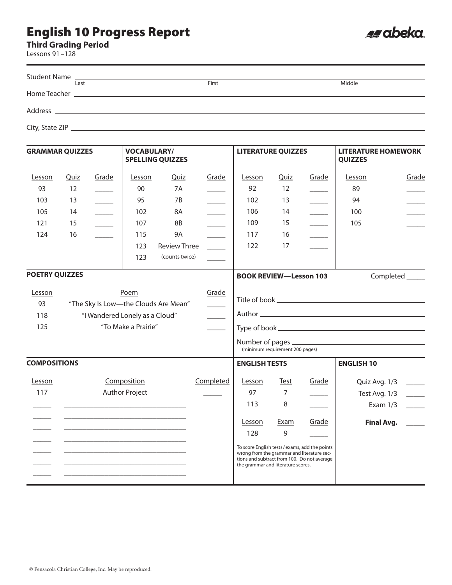#### **Third Grading Period**

Lessons 91–128

| Last | First | Middle |
|------|-------|--------|
|      |       |        |
|      |       |        |
|      |       |        |
|      |       |        |

es abeka.

| <b>GRAMMAR QUIZZES</b>   |      |                                                                                                                                                                                                                                                                                                                  | <b>VOCABULARY/</b>    | <b>SPELLING QUIZZES</b> |                          | <b>LITERATURE QUIZZES</b>                                                                                                          |                |                                             | <b>LITERATURE HOMEWORK</b><br><b>QUIZZES</b> |                   |        |
|--------------------------|------|------------------------------------------------------------------------------------------------------------------------------------------------------------------------------------------------------------------------------------------------------------------------------------------------------------------|-----------------------|-------------------------|--------------------------|------------------------------------------------------------------------------------------------------------------------------------|----------------|---------------------------------------------|----------------------------------------------|-------------------|--------|
| Lesson                   | Quiz | Grade                                                                                                                                                                                                                                                                                                            | Lesson                | Quiz                    | Grade                    | Lesson                                                                                                                             | Quiz           | Grade                                       | Lesson                                       |                   | Grade  |
| 93                       | 12   |                                                                                                                                                                                                                                                                                                                  | 90                    | 7A                      |                          | 92                                                                                                                                 | 12             |                                             | 89                                           |                   |        |
| 103                      | 13   |                                                                                                                                                                                                                                                                                                                  | 95                    | 7B                      |                          | 102                                                                                                                                | 13             |                                             | 94                                           |                   |        |
| 105                      | 14   | $\frac{1}{2}$                                                                                                                                                                                                                                                                                                    | 102                   | 8A                      |                          | 106                                                                                                                                | 14             | $\frac{1}{1}$                               | 100                                          |                   |        |
| 121                      | 15   |                                                                                                                                                                                                                                                                                                                  | 107                   | 8B                      |                          | 109                                                                                                                                | 15             | $\frac{1}{2}$                               | 105                                          |                   |        |
| 124                      | 16   |                                                                                                                                                                                                                                                                                                                  | 115                   | <b>9A</b>               |                          | 117                                                                                                                                | 16             | $\overline{\phantom{a}}$                    |                                              |                   |        |
|                          |      |                                                                                                                                                                                                                                                                                                                  | 123                   | <b>Review Three</b>     |                          | 122                                                                                                                                | 17             |                                             |                                              |                   |        |
|                          |      |                                                                                                                                                                                                                                                                                                                  | 123                   | (counts twice)          |                          |                                                                                                                                    |                |                                             |                                              |                   |        |
| <b>POETRY QUIZZES</b>    |      |                                                                                                                                                                                                                                                                                                                  |                       |                         |                          | <b>BOOK REVIEW-Lesson 103</b>                                                                                                      |                |                                             |                                              | Completed ______  |        |
| Lesson<br>93             |      | Grade<br>Poem<br>"The Sky Is Low-the Clouds Are Mean"                                                                                                                                                                                                                                                            |                       |                         |                          |                                                                                                                                    |                |                                             |                                              |                   |        |
| 118                      |      | "I Wandered Lonely as a Cloud"                                                                                                                                                                                                                                                                                   |                       |                         | $\frac{1}{2}$            |                                                                                                                                    |                |                                             |                                              |                   |        |
| 125                      |      |                                                                                                                                                                                                                                                                                                                  | "To Make a Prairie"   |                         | $\overline{\phantom{a}}$ |                                                                                                                                    |                |                                             |                                              |                   |        |
|                          |      |                                                                                                                                                                                                                                                                                                                  |                       |                         |                          | (minimum requirement 200 pages)                                                                                                    |                |                                             |                                              |                   |        |
|                          |      |                                                                                                                                                                                                                                                                                                                  |                       |                         |                          | <b>ENGLISH TESTS</b>                                                                                                               |                |                                             |                                              |                   |        |
| <b>COMPOSITIONS</b>      |      |                                                                                                                                                                                                                                                                                                                  |                       |                         |                          |                                                                                                                                    |                |                                             | <b>ENGLISH 10</b>                            |                   |        |
| Lesson                   |      |                                                                                                                                                                                                                                                                                                                  | Composition           |                         | Completed                | Lesson                                                                                                                             | <b>Test</b>    | Grade                                       | Quiz Avg. 1/3                                |                   |        |
| 117                      |      |                                                                                                                                                                                                                                                                                                                  | <b>Author Project</b> |                         |                          | 97                                                                                                                                 | $\overline{7}$ |                                             |                                              | Test Avg. 1/3     | $\sim$ |
|                          |      |                                                                                                                                                                                                                                                                                                                  |                       |                         |                          | 113                                                                                                                                | 8              |                                             |                                              | Exam $1/3$        |        |
|                          |      | <u> 1989 - Andrea Stadt Britain, amerikansk politik (* 1958)</u>                                                                                                                                                                                                                                                 |                       |                         |                          | Lesson                                                                                                                             | Exam           | Grade                                       |                                              | <b>Final Avg.</b> |        |
|                          |      | <u> 1989 - Johann Barbara, martin amerikan basar dan berasal dan berasal dalam basar dalam basar dalam basar dala</u><br><u> 1989 - Johann Barbara, martin amerikan basar dan berasal dalam berasal dalam basar dalam basar dalam basar da</u>                                                                   |                       |                         |                          | 128                                                                                                                                | 9              |                                             |                                              |                   |        |
| $\overline{\phantom{a}}$ |      | <u> 1989 - Johann Barbara, martin amerikan basar dan berasal dan berasal dalam basar dalam basar dalam basar dala</u><br><u> 1989 - Johann Barbara, martin amerikan basar dan berasal dan berasal dari berasal dalam berasal dalam berasal</u><br><u> 1989 - Johann Barbara, margaret eta idazlea (h. 1989).</u> |                       |                         |                          | To score English tests / exams, add the points<br>wrong from the grammar and literature sec-<br>the grammar and literature scores. |                | tions and subtract from 100. Do not average |                                              |                   |        |